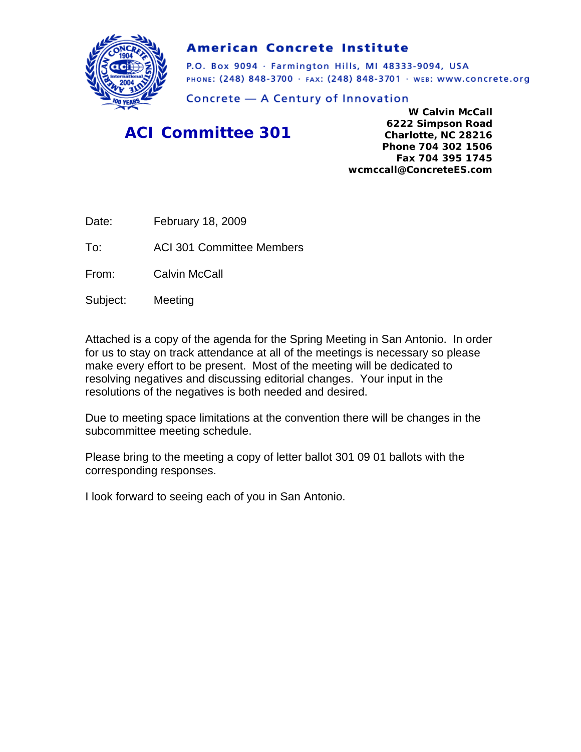

#### **American Concrete Institute**

P.O. Box 9094 · Farmington Hills, MI 48333-9094, USA PHONE: (248) 848-3700 · FAX: (248) 848-3701 · WEB: WWW.CONCrete.org

Concrete - A Century of Innovation

### *ACI Committee 301*

**W Calvin McCall 6222 Simpson Road Charlotte, NC 28216 Phone 704 302 1506 Fax 704 395 1745 wcmccall@ConcreteES.com** 

Date: February 18, 2009

To: ACI 301 Committee Members

From: Calvin McCall

Subject: Meeting

Attached is a copy of the agenda for the Spring Meeting in San Antonio. In order for us to stay on track attendance at all of the meetings is necessary so please make every effort to be present. Most of the meeting will be dedicated to resolving negatives and discussing editorial changes. Your input in the resolutions of the negatives is both needed and desired.

Due to meeting space limitations at the convention there will be changes in the subcommittee meeting schedule.

Please bring to the meeting a copy of letter ballot 301 09 01 ballots with the corresponding responses.

I look forward to seeing each of you in San Antonio.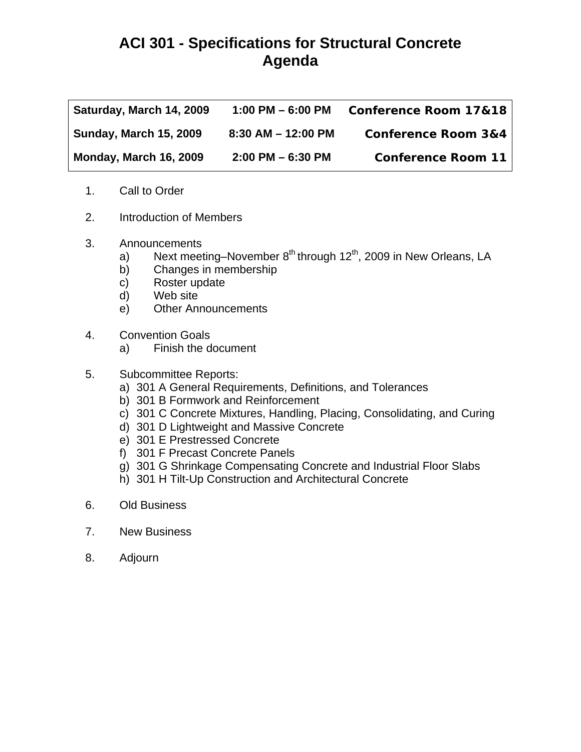## **ACI 301 - Specifications for Structural Concrete Agenda**

| Saturday, March 14, 2009      | 1:00 PM $-$ 6:00 PM    | <b>Conference Room 17&amp;18</b> |
|-------------------------------|------------------------|----------------------------------|
| <b>Sunday, March 15, 2009</b> | $8:30$ AM $-$ 12:00 PM | <b>Conference Room 3&amp;4</b>   |
| Monday, March 16, 2009        | $2:00$ PM $-6:30$ PM   | <b>Conference Room 11</b>        |

- 1. Call to Order
- 2. Introduction of Members
- 3. Announcements
	- a) Next meeting–November  $8^{th}$  through  $12^{th}$ , 2009 in New Orleans, LA
	- b) Changes in membership
	- c) Roster update
	- d) Web site
	- e) Other Announcements
- 4. Convention Goals
	- a) Finish the document
- 5. Subcommittee Reports:
	- a) 301 A General Requirements, Definitions, and Tolerances
	- b) 301 B Formwork and Reinforcement
	- c) 301 C Concrete Mixtures, Handling, Placing, Consolidating, and Curing
	- d) 301 D Lightweight and Massive Concrete
	- e) 301 E Prestressed Concrete
	- f) 301 F Precast Concrete Panels
	- g) 301 G Shrinkage Compensating Concrete and Industrial Floor Slabs
	- h) 301 H Tilt-Up Construction and Architectural Concrete
- 6. Old Business
- 7. New Business
- 8. Adjourn